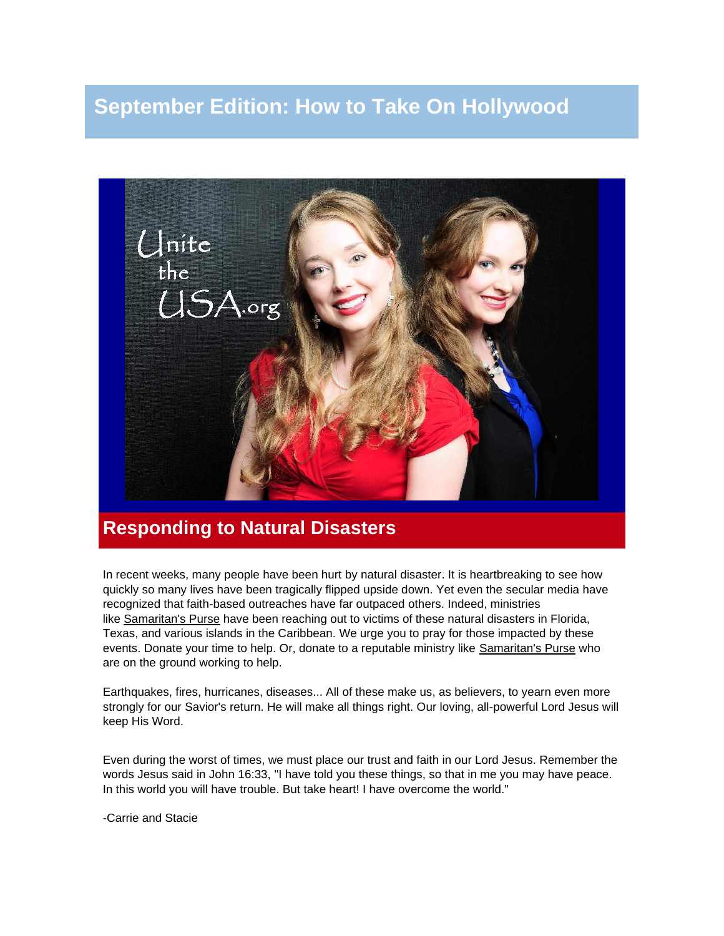# **September Edition: How to Take On Hollywood**



## **Responding to Natural Disasters**

In recent weeks, many people have been hurt by natural disaster. It is heartbreaking to see how quickly so many lives have been tragically flipped upside down. Yet even the secular media have recognized that faith-based outreaches have far outpaced others. Indeed, ministries like [Samaritan's Purse](http://r20.rs6.net/tn.jsp?t=q7qeh49ab.0.0.4h4hhncab.0&id=preview&r=3&p=https%3A%2F%2Fwww.samaritanspurse.org%2Fdisaster%2Fhurricane-relief-2017%2F%3Futm_source%3DBing%26utm_medium%3Dcpc%26utm_campaign%3Dm_YYHR-B17V_HHSP-LP) have been reaching out to victims of these natural disasters in Florida, Texas, and various islands in the Caribbean. We urge you to pray for those impacted by these events. Donate your time to help. Or, donate to a reputable ministry like [Samaritan's Purse](http://r20.rs6.net/tn.jsp?t=q7qeh49ab.0.0.4h4hhncab.0&id=preview&r=3&p=https%3A%2F%2Fwww.samaritanspurse.org%2Fdisaster%2Fhurricane-relief-2017%2F%3Futm_source%3DBing%26utm_medium%3Dcpc%26utm_campaign%3Dm_YYHR-B17V_HHSP-LP) who are on the ground working to help.

Earthquakes, fires, hurricanes, diseases... All of these make us, as believers, to yearn even more strongly for our Savior's return. He will make all things right. Our loving, all-powerful Lord Jesus will keep His Word.

Even during the worst of times, we must place our trust and faith in our Lord Jesus. Remember the words Jesus said in John 16:33, "I have told you these things, so that in me you may have peace. In this world you will have trouble. But take heart! I have overcome the world."

-Carrie and Stacie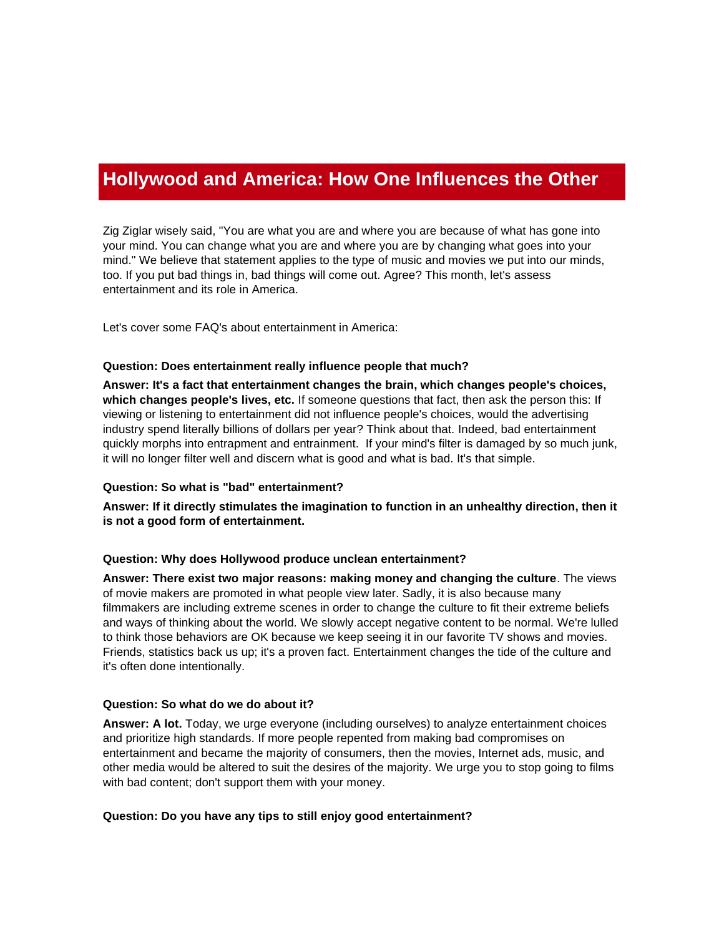# **Hollywood and America: How One Influences the Other**

Zig Ziglar wisely said, "You are what you are and where you are because of what has gone into your mind. You can change what you are and where you are by changing what goes into your mind." We believe that statement applies to the type of music and movies we put into our minds, too. If you put bad things in, bad things will come out. Agree? This month, let's assess entertainment and its role in America.

Let's cover some FAQ's about entertainment in America:

#### **Question: Does entertainment really influence people that much?**

**Answer: It's a fact that entertainment changes the brain, which changes people's choices, which changes people's lives, etc.** If someone questions that fact, then ask the person this: If viewing or listening to entertainment did not influence people's choices, would the advertising industry spend literally billions of dollars per year? Think about that. Indeed, bad entertainment quickly morphs into entrapment and entrainment. If your mind's filter is damaged by so much junk, it will no longer filter well and discern what is good and what is bad. It's that simple.

#### **Question: So what is "bad" entertainment?**

**Answer: If it directly stimulates the imagination to function in an unhealthy direction, then it is not a good form of entertainment.**

#### **Question: Why does Hollywood produce unclean entertainment?**

**Answer: There exist two major reasons: making money and changing the culture**. The views of movie makers are promoted in what people view later. Sadly, it is also because many filmmakers are including extreme scenes in order to change the culture to fit their extreme beliefs and ways of thinking about the world. We slowly accept negative content to be normal. We're lulled to think those behaviors are OK because we keep seeing it in our favorite TV shows and movies. Friends, statistics back us up; it's a proven fact. Entertainment changes the tide of the culture and it's often done intentionally.

#### **Question: So what do we do about it?**

**Answer: A lot.** Today, we urge everyone (including ourselves) to analyze entertainment choices and prioritize high standards. If more people repented from making bad compromises on entertainment and became the majority of consumers, then the movies, Internet ads, music, and other media would be altered to suit the desires of the majority. We urge you to stop going to films with bad content; don't support them with your money.

#### **Question: Do you have any tips to still enjoy good entertainment?**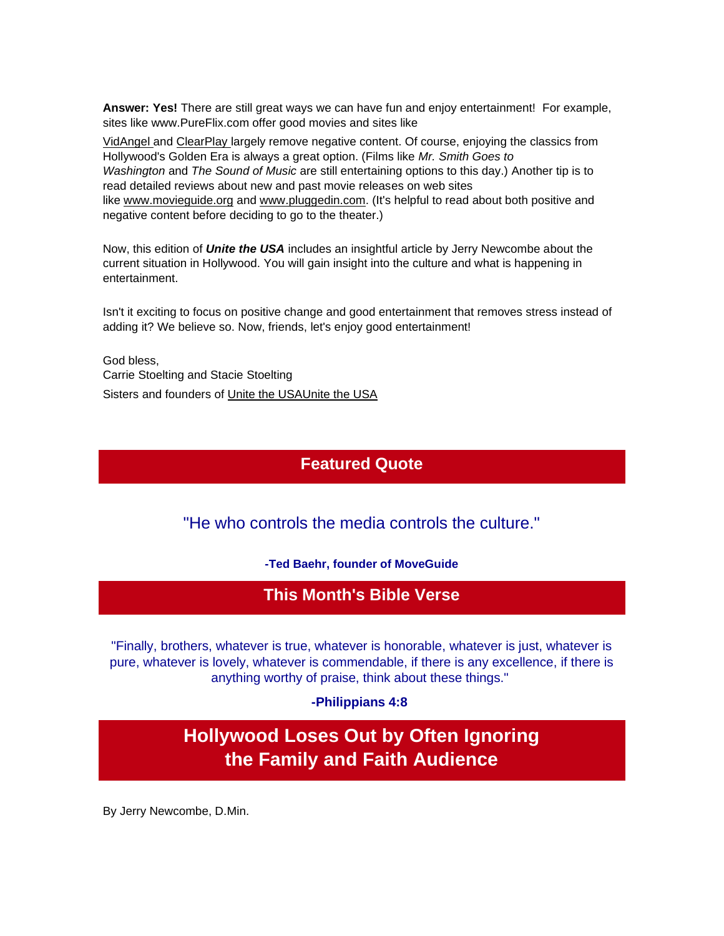**Answer: Yes!** There are still great ways we can have fun and enjoy entertainment! For example, sites like www.PureFlix.com offer good movies and sites like

[VidAngel](http://r20.rs6.net/tn.jsp?t=q7qeh49ab.0.0.4h4hhncab.0&id=preview&r=3&p=http%3A%2F%2Fwww.vidangel.com) and [ClearPlay](http://r20.rs6.net/tn.jsp?t=q7qeh49ab.0.0.4h4hhncab.0&id=preview&r=3&p=https%3A%2F%2Ftry.clearplay.com%2Fhome%2F) largely remove negative content. Of course, enjoying the classics from Hollywood's Golden Era is always a great option. (Films like *Mr. Smith Goes to Washington* and *The Sound of Music* are still entertaining options to this day.) Another tip is to read detailed reviews about new and past movie releases on web sites like [www.movieguide.org](http://r20.rs6.net/tn.jsp?t=q7qeh49ab.0.0.4h4hhncab.0&id=preview&r=3&p=http%3A%2F%2Fwww.movieguide.org) and [www.pluggedin.com.](http://r20.rs6.net/tn.jsp?t=q7qeh49ab.0.0.4h4hhncab.0&id=preview&r=3&p=http%3A%2F%2Fwww.pluggedin.com) (It's helpful to read about both positive and negative content before deciding to go to the theater.)

Now, this edition of *Unite the USA* includes an insightful article by Jerry Newcombe about the current situation in Hollywood. You will gain insight into the culture and what is happening in entertainment.

Isn't it exciting to focus on positive change and good entertainment that removes stress instead of adding it? We believe so. Now, friends, let's enjoy good entertainment!

God bless, Carrie Stoelting and Stacie Stoelting Sisters and founders of [Unite the USA](http://unitetheusa.org/index.html)[Unite the USA](http://r20.rs6.net/tn.jsp?t=q7qeh49ab.0.0.4h4hhncab.0&id=preview&r=3&p=http%3A%2F%2Fwww.unitetheusa.org)

### **Featured Quote**

"He who controls the media controls the culture."

**-Ted Baehr, founder of MoveGuide**

### **This Month's Bible Verse**

"Finally, brothers, whatever is true, whatever is honorable, whatever is just, whatever is pure, whatever is lovely, whatever is commendable, if there is any excellence, if there is anything worthy of praise, think about these things."

**-Philippians 4:8**

**Hollywood Loses Out by Often Ignoring the Family and Faith Audience**

By Jerry Newcombe, D.Min.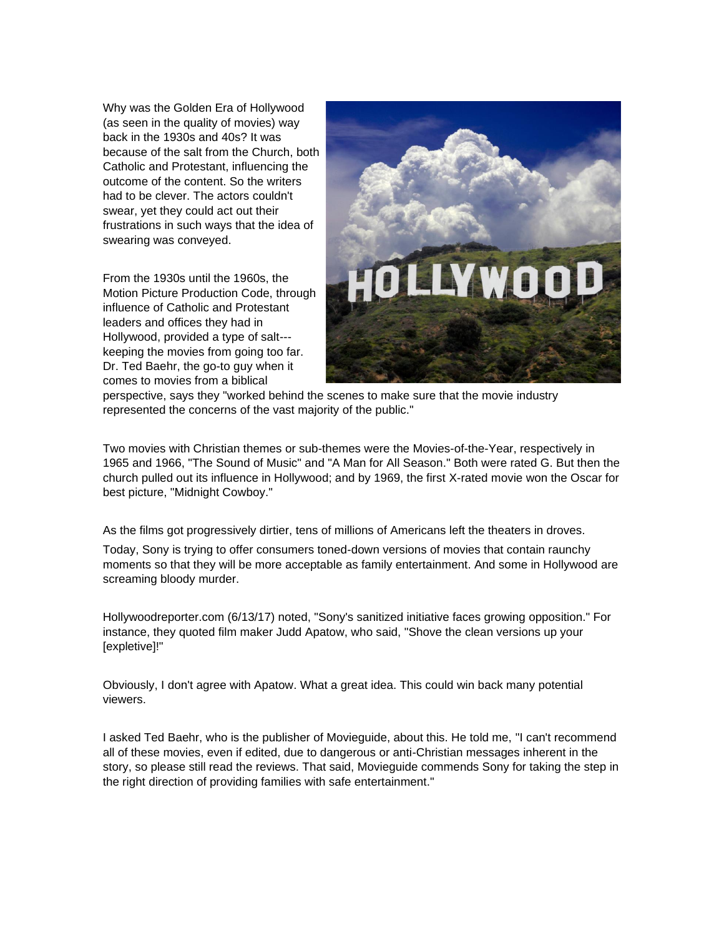Why was the Golden Era of Hollywood (as seen in the quality of movies) way back in the 1930s and 40s? It was because of the salt from the Church, both Catholic and Protestant, influencing the outcome of the content. So the writers had to be clever. The actors couldn't swear, yet they could act out their frustrations in such ways that the idea of swearing was conveyed.

From the 1930s until the 1960s, the Motion Picture Production Code, through influence of Catholic and Protestant leaders and offices they had in Hollywood, provided a type of salt-- keeping the movies from going too far. Dr. Ted Baehr, the go-to guy when it comes to movies from a biblical



perspective, says they "worked behind the scenes to make sure that the movie industry represented the concerns of the vast majority of the public."

Two movies with Christian themes or sub-themes were the Movies-of-the-Year, respectively in 1965 and 1966, "The Sound of Music" and "A Man for All Season." Both were rated G. But then the church pulled out its influence in Hollywood; and by 1969, the first X-rated movie won the Oscar for best picture, "Midnight Cowboy."

As the films got progressively dirtier, tens of millions of Americans left the theaters in droves.

Today, Sony is trying to offer consumers toned-down versions of movies that contain raunchy moments so that they will be more acceptable as family entertainment. And some in Hollywood are screaming bloody murder.

Hollywoodreporter.com (6/13/17) noted, "Sony's sanitized initiative faces growing opposition." For instance, they quoted film maker Judd Apatow, who said, "Shove the clean versions up your [expletive]!"

Obviously, I don't agree with Apatow. What a great idea. This could win back many potential viewers.

I asked Ted Baehr, who is the publisher of Movieguide, about this. He told me, "I can't recommend all of these movies, even if edited, due to dangerous or anti-Christian messages inherent in the story, so please still read the reviews. That said, Movieguide commends Sony for taking the step in the right direction of providing families with safe entertainment."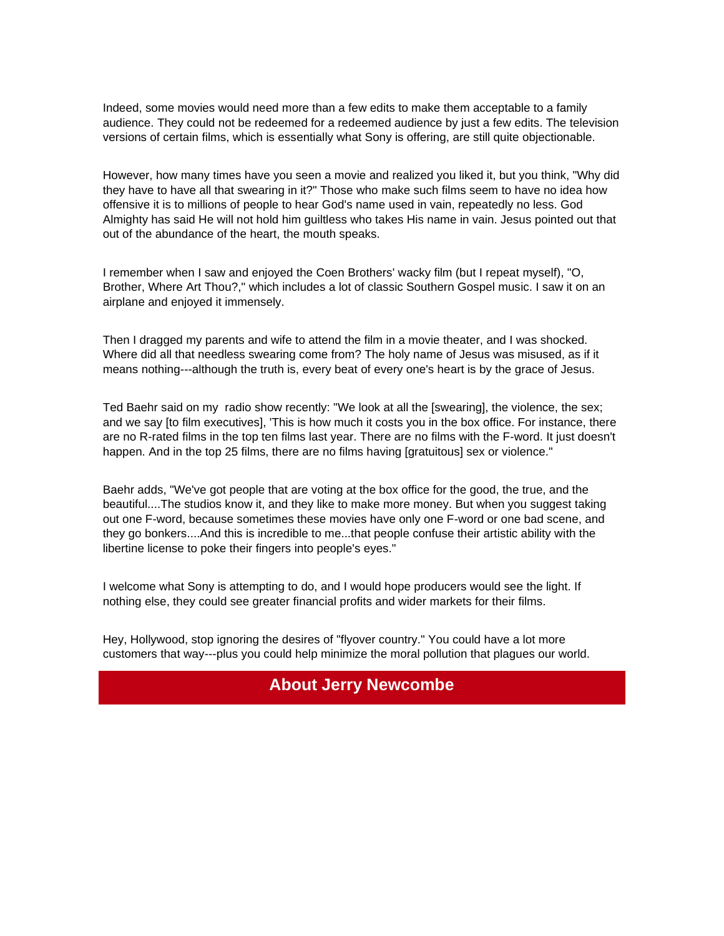Indeed, some movies would need more than a few edits to make them acceptable to a family audience. They could not be redeemed for a redeemed audience by just a few edits. The television versions of certain films, which is essentially what Sony is offering, are still quite objectionable.

However, how many times have you seen a movie and realized you liked it, but you think, "Why did they have to have all that swearing in it?" Those who make such films seem to have no idea how offensive it is to millions of people to hear God's name used in vain, repeatedly no less. God Almighty has said He will not hold him guiltless who takes His name in vain. Jesus pointed out that out of the abundance of the heart, the mouth speaks.

I remember when I saw and enjoyed the Coen Brothers' wacky film (but I repeat myself), "O, Brother, Where Art Thou?," which includes a lot of classic Southern Gospel music. I saw it on an airplane and enjoyed it immensely.

Then I dragged my parents and wife to attend the film in a movie theater, and I was shocked. Where did all that needless swearing come from? The holy name of Jesus was misused, as if it means nothing---although the truth is, every beat of every one's heart is by the grace of Jesus.

Ted Baehr said on my radio show recently: "We look at all the [swearing], the violence, the sex; and we say [to film executives], 'This is how much it costs you in the box office. For instance, there are no R-rated films in the top ten films last year. There are no films with the F-word. It just doesn't happen. And in the top 25 films, there are no films having [gratuitous] sex or violence."

Baehr adds, "We've got people that are voting at the box office for the good, the true, and the beautiful....The studios know it, and they like to make more money. But when you suggest taking out one F-word, because sometimes these movies have only one F-word or one bad scene, and they go bonkers....And this is incredible to me...that people confuse their artistic ability with the libertine license to poke their fingers into people's eyes."

I welcome what Sony is attempting to do, and I would hope producers would see the light. If nothing else, they could see greater financial profits and wider markets for their films.

Hey, Hollywood, stop ignoring the desires of "flyover country." You could have a lot more customers that way---plus you could help minimize the moral pollution that plagues our world.

### **About Jerry Newcombe**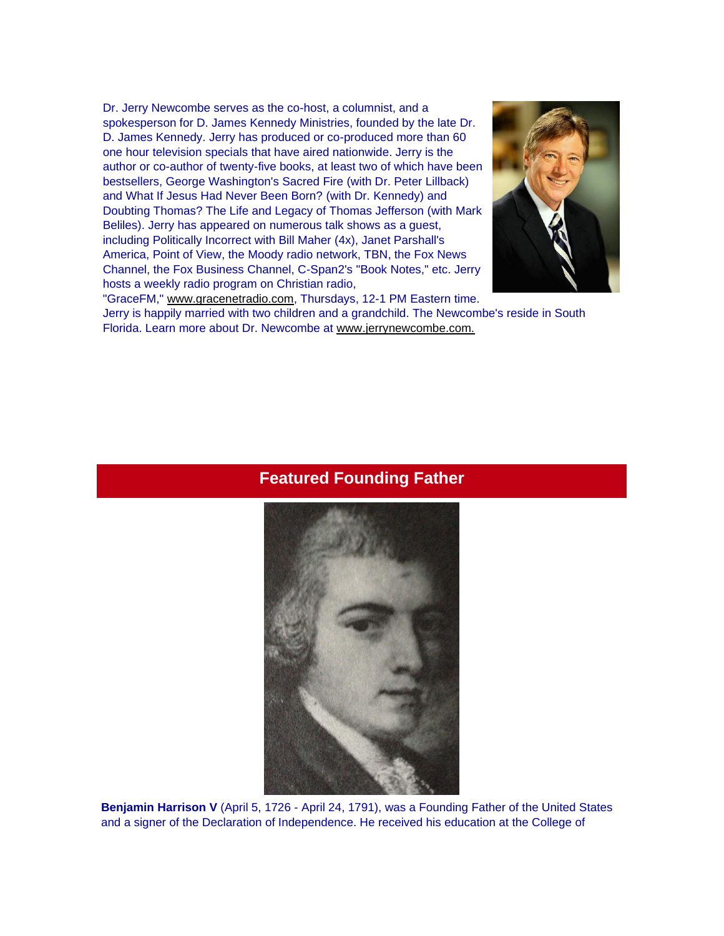Dr. Jerry Newcombe serves as the co-host, a columnist, and a spokesperson for D. James Kennedy Ministries, founded by the late Dr. D. James Kennedy. Jerry has produced or co-produced more than 60 one hour television specials that have aired nationwide. Jerry is the author or co-author of twenty-five books, at least two of which have been bestsellers, George Washington's Sacred Fire (with Dr. Peter Lillback) and What If Jesus Had Never Been Born? (with Dr. Kennedy) and Doubting Thomas? The Life and Legacy of Thomas Jefferson (with Mark Beliles). Jerry has appeared on numerous talk shows as a guest, including Politically Incorrect with Bill Maher (4x), Janet Parshall's America, Point of View, the Moody radio network, TBN, the Fox News Channel, the Fox Business Channel, C-Span2's "Book Notes," etc. Jerry hosts a weekly radio program on Christian radio,



"GraceFM," [www.gracenetradio.com,](http://r20.rs6.net/tn.jsp?t=q7qeh49ab.0.0.4h4hhncab.0&id=preview&r=3&p=http%3A%2F%2Fwww.gracenetradio.com) Thursdays, 12-1 PM Eastern time. Jerry is happily married with two children and a grandchild. The Newcombe's reside in South Florida. Learn more about Dr. Newcombe at [www.jerrynewcombe.com.](http://r20.rs6.net/tn.jsp?t=q7qeh49ab.0.0.4h4hhncab.0&id=preview&r=3&p=http%3A%2F%2Fwww.jerrynewcombe.com) 

### **Featured Founding Father**



**Benjamin Harrison V** (April 5, 1726 - April 24, 1791), was a Founding Father of the United States and a signer of the Declaration of Independence. He received his education at the College of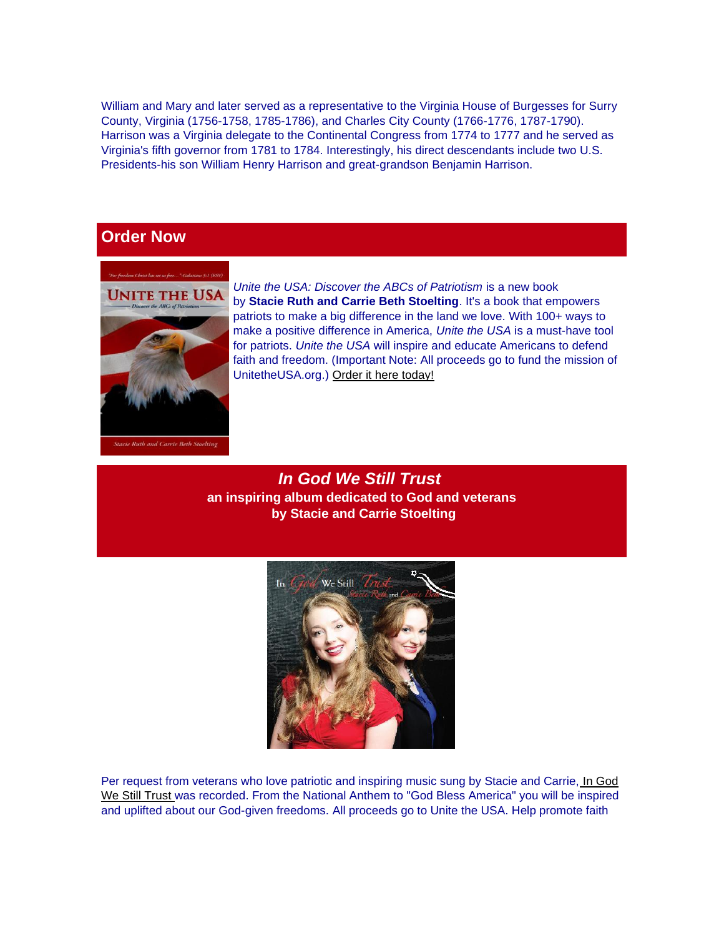William and Mary and later served as a representative to the Virginia House of Burgesses for Surry County, Virginia (1756-1758, 1785-1786), and Charles City County (1766-1776, 1787-1790). Harrison was a Virginia delegate to the Continental Congress from 1774 to 1777 and he served as Virginia's fifth governor from 1781 to 1784. Interestingly, his direct descendants include two U.S. Presidents-his son William Henry Harrison and great-grandson Benjamin Harrison.

## **Order Now**



*Unite the USA: Discover the ABCs of Patriotism* is a new book by **Stacie Ruth and Carrie Beth Stoelting**. It's a book that empowers patriots to make a big difference in the land we love. With 100+ ways to make a positive difference in America, *Unite the USA* is a must-have tool for patriots. *Unite the USA* will inspire and educate Americans to defend faith and freedom. (Important Note: All proceeds go to fund the mission of UnitetheUSA.org.) [Order it here today!](http://r20.rs6.net/tn.jsp?t=q7qeh49ab.0.0.4h4hhncab.0&id=preview&r=3&p=http%3A%2F%2Funitetheusa.org%2Fid56.html)

*In God We Still Trust* **an inspiring album dedicated to God and veterans by Stacie and Carrie Stoelting**



Per request from veterans who love patriotic and inspiring music sung by Stacie and Carrie, [In God](http://r20.rs6.net/tn.jsp?t=q7qeh49ab.0.0.4h4hhncab.0&id=preview&r=3&p=http%3A%2F%2Funitetheusa.org%2Fid56.html)  [We Still Trust](http://r20.rs6.net/tn.jsp?t=q7qeh49ab.0.0.4h4hhncab.0&id=preview&r=3&p=http%3A%2F%2Funitetheusa.org%2Fid56.html) was recorded. From the National Anthem to "God Bless America" you will be inspired and uplifted about our God-given freedoms. All proceeds go to Unite the USA. Help promote faith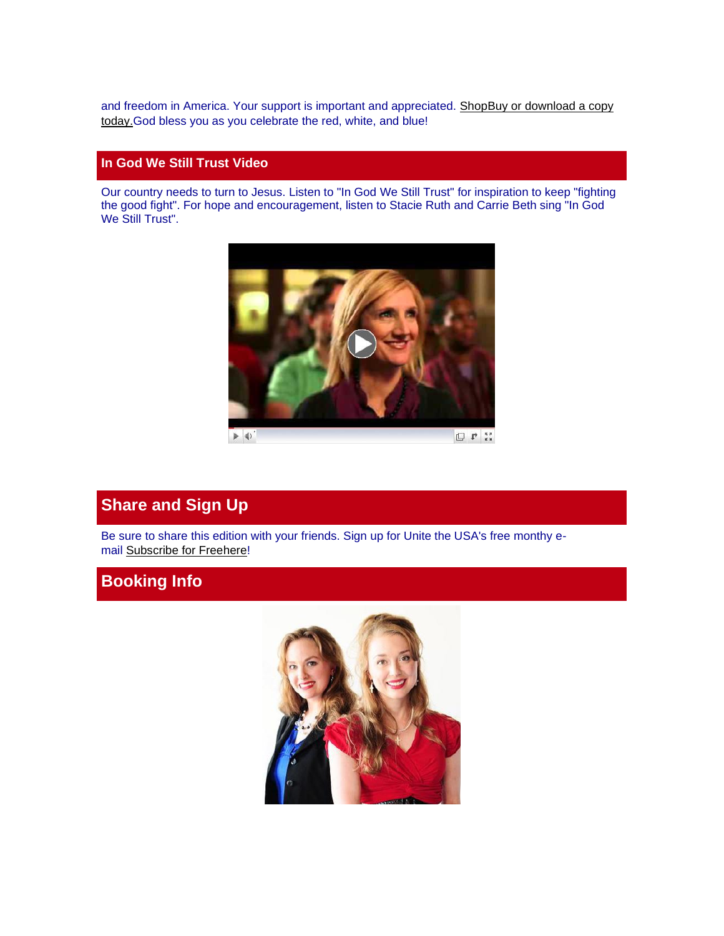and freedom in America. Your support is important and appreciated. [Shop](http://unitetheusa.org/id56.html)Buy or download a copy [today.G](http://r20.rs6.net/tn.jsp?t=q7qeh49ab.0.0.4h4hhncab.0&id=preview&r=3&p=http%3A%2F%2Funitetheusa.org%2Fid56.html)od bless you as you celebrate the red, white, and blue!

### **In God We Still Trust Video**

Our country needs to turn to Jesus. Listen to "In God We Still Trust" for inspiration to keep "fighting the good fight". For hope and encouragement, listen to Stacie Ruth and Carrie Beth sing "In God We Still Trust".



## **Share and Sign Up**

Be sure to share this edition with your friends. Sign up for Unite the USA's free monthy email [Subscribe for Free](http://unitetheusa.org/id2.html)[here!](http://r20.rs6.net/tn.jsp?t=q7qeh49ab.0.0.4h4hhncab.0&id=preview&r=3&p=http%3A%2F%2Fwww.unitetheusa.org%2Fid2.html)

## **Booking Info**